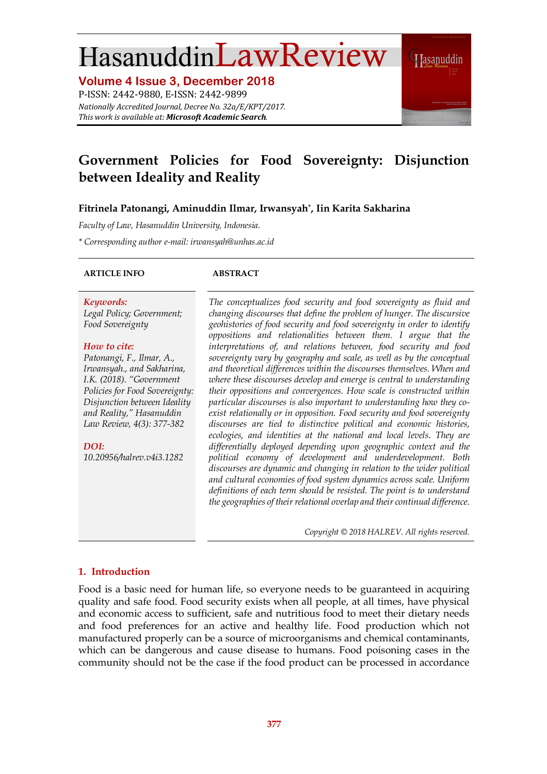# HasanuddinLawReview

**Volume 4 Issue 3, December 2018** P-ISSN: 2442-9880, E-ISSN: 2442-9899 *Nationally Accredited Journal, Decree No. 32a/E/KPT/2017.* This work is available at: Microsoft Academic Search.



## **Government Policies for Food Sovereignty: Disjunction between Ideality and Reality**

#### **Fitrinela Patonangi, Aminuddin Ilmar, Irwansyah\*, Iin Karita Sakharina**

*Faculty of Law, Hasanuddin University, Indonesia.*

*\* Corresponding author e-mail: irwansyah@unhas.ac.id*

#### **ARTICLE INFO ABSTRACT**

*Keywords:*

*Legal Policy; Government; Food Sovereignty*

#### *How to cite:*

*Patonangi, F., Ilmar, A., Irwansyah., and Sakharina, I.K. (2018). "Government Policies for Food Sovereignty: Disjunction between Ideality and Reality," Hasanuddin Law Review, 4(3): 377-382*

*DOI:*

*10.20956/halrev.v4i3.1282*

*The conceptualizes food security and food sovereignty as fluid and changing discourses that define the problem of hunger. The discursive geohistories of food security and food sovereignty in order to identify oppositions and relationalities between them. I argue that the interpretations of, and relations between, food security and food sovereignty vary by geography and scale, as well as by the conceptual and theoretical differences within the discourses themselves. When and where these discourses develop and emerge is central to understanding their oppositions and convergences. How scale is constructed within particular discourses is also important to understanding how they coexist relationally or in opposition. Food security and food sovereignty discourses are tied to distinctive political and economic histories, ecologies, and identities at the national and local levels. They are differentially deployed depending upon geographic context and the political economy of development and underdevelopment. Both discourses are dynamic and changing in relation to the wider political and cultural economies of food system dynamics across scale. Uniform definitions of each term should be resisted. The point is to understand the geographies of theirrelational overlap and their continual difference.*

*Copyright © 2018 HALREV. All rights reserved.*

#### **1. Introduction**

Food is a basic need for human life, so everyone needs to be guaranteed in acquiring quality and safe food. Food security exists when all people, at all times, have physical and economic access to sufficient, safe and nutritious food to meet their dietary needs and food preferences for an active and healthy life. Food production which not manufactured properly can be a source of microorganisms and chemical contaminants, which can be dangerous and cause disease to humans. Food poisoning cases in the community should not be the case if the food product can be processed in accordance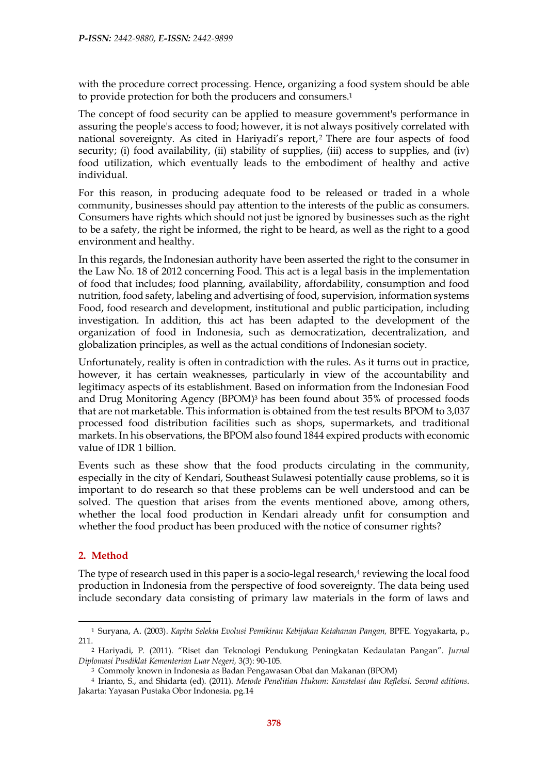with the procedure correct processing. Hence, organizing a food system should be able to provide protection for both the producers and consumers.1

The concept of food security can be applied to measure government's performance in assuring the people's access to food; however, it is not always positively correlated with national sovereignty. As cited in Hariyadi's report,<sup>2</sup> There are four aspects of food security; (i) food availability, (ii) stability of supplies, (iii) access to supplies, and (iv) food utilization, which eventually leads to the embodiment of healthy and active individual.

For this reason, in producing adequate food to be released or traded in a whole community, businesses should pay attention to the interests of the public as consumers. Consumers have rights which should not just be ignored by businesses such as the right to be a safety, the right be informed, the right to be heard, as well as the right to a good environment and healthy.

In this regards, the Indonesian authority have been asserted the right to the consumer in the Law No. 18 of 2012 concerning Food. This act is a legal basis in the implementation of food that includes; food planning, availability, affordability, consumption and food nutrition, food safety, labeling and advertising of food, supervision, information systems Food, food research and development, institutional and public participation, including investigation. In addition, this act has been adapted to the development of the organization of food in Indonesia, such as democratization, decentralization, and globalization principles, as well as the actual conditions of Indonesian society.

Unfortunately, reality is often in contradiction with the rules. As it turns out in practice, however, it has certain weaknesses, particularly in view of the accountability and legitimacy aspects of its establishment. Based on information from the Indonesian Food and Drug Monitoring Agency (BPOM)3 has been found about 35% of processed foods that are not marketable. This information is obtained from the test results BPOM to 3,037 processed food distribution facilities such as shops, supermarkets, and traditional markets. In his observations, the BPOM also found 1844 expired products with economic value of IDR 1 billion.

Events such as these show that the food products circulating in the community, especially in the city of Kendari, Southeast Sulawesi potentially cause problems, so it is important to do research so that these problems can be well understood and can be solved. The question that arises from the events mentioned above, among others, whether the local food production in Kendari already unfit for consumption and whether the food product has been produced with the notice of consumer rights?

### **2. Method**

l

The type of research used in this paper is a socio-legal research, $4$  reviewing the local food production in Indonesia from the perspective of food sovereignty. The data being used include secondary data consisting of primary law materials in the form of laws and

<sup>1</sup> Suryana, A. (2003). *Kapita Selekta Evolusi Pemikiran Kebijakan Ketahanan Pangan,* BPFE. Yogyakarta, p., 211.2 Hariyadi, P. (2011). "Riset dan Teknologi Pendukung Peningkatan Kedaulatan Pangan". *Jurnal* 

*Diplomasi Pusdiklat Kementerian Luar Negeri,* 3(3): 90-105.

<sup>3</sup> Commoly known in Indonesia as Badan Pengawasan Obat dan Makanan (BPOM)

<sup>4</sup> Irianto, S., and Shidarta (ed). (2011). *Metode Penelitian Hukum: Konstelasi dan Refleksi. Second editions*. Jakarta: Yayasan Pustaka Obor Indonesia. pg.14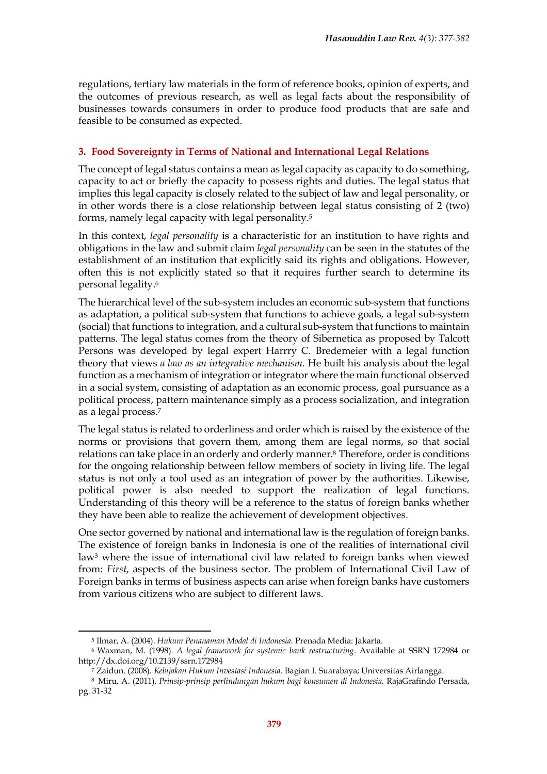regulations, tertiary law materials in the form of reference books, opinion of experts, and the outcomes of previous research, as well as legal facts about the responsibility of businesses towards consumers in order to produce food products that are safe and feasible to be consumed as expected.

#### **3. Food Sovereignty in Terms of National and International Legal Relations**

The concept of legal status contains a mean as legal capacity as capacity to do something, capacity to act or briefly the capacity to possess rights and duties. The legal status that implies this legal capacity is closely related to the subject of law and legal personality, or in other words there is a close relationship between legal status consisting of 2 (two) forms, namely legal capacity with legal personality.5

In this context, *legal personality* is a characteristic for an institution to have rights and obligations in the law and submit claim *legal personality* can be seen in the statutes of the establishment of an institution that explicitly said its rights and obligations. However, often this is not explicitly stated so that it requires further search to determine its personal legality.6

The hierarchical level of the sub-system includes an economic sub-system that functions as adaptation, a political sub-system that functions to achieve goals, a legal sub-system (social) that functions to integration, and a cultural sub-system that functions to maintain patterns. The legal status comes from the theory of Sibernetica as proposed by Talcott Persons was developed by legal expert Harrry C. Bredemeier with a legal function theory that views *a law as an integrative mechanism*. He built his analysis about the legal function as a mechanism of integration or integrator where the main functional observed in a social system, consisting of adaptation as an economic process, goal pursuance as a political process, pattern maintenance simply as a process socialization, and integration as a legal process.7

The legal status is related to orderliness and order which is raised by the existence of the norms or provisions that govern them, among them are legal norms, so that social relations can take place in an orderly and orderly manner.8 Therefore, order is conditions for the ongoing relationship between fellow members of society in living life. The legal status is not only a tool used as an integration of power by the authorities. Likewise, political power is also needed to support the realization of legal functions. Understanding of this theory will be a reference to the status of foreign banks whether they have been able to realize the achievement of development objectives.

One sector governed by national and international law is the regulation of foreign banks. The existence of foreign banks in Indonesia is one of the realities of international civil law3 where the issue of international civil law related to foreign banks when viewed from: *First*, aspects of the business sector. The problem of International Civil Law of Foreign banks in terms of business aspects can arise when foreign banks have customers from various citizens who are subject to different laws.

 $\overline{a}$ 

<sup>5</sup> Ilmar, A. (2004). *Hukum Penanaman Modal di Indonesia*. Prenada Media: Jakarta.

<sup>6</sup> Waxman, M. (1998). *A legal framework for systemic bank restructuring*. Available at SSRN 172984 or http://dx.doi.org/10.2139/ssrn.172984

<sup>7</sup> Zaidun. (2008). *Kebijakan Hukum Investasi Indonesia.* Bagian I. Suarabaya; Universitas Airlangga.

<sup>8</sup> Miru, A. (2011). *Prinsip-prinsip perlindungan hukum bagi konsumen di Indonesia*. RajaGrafindo Persada, pg. 31-32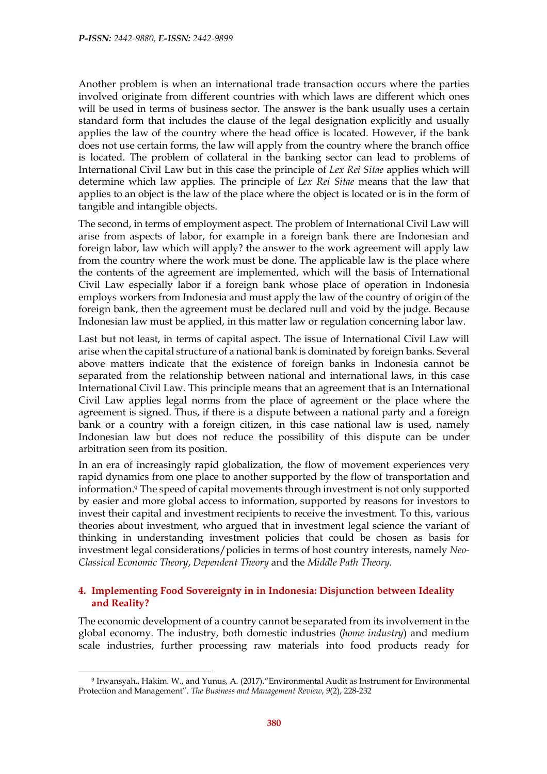Another problem is when an international trade transaction occurs where the parties involved originate from different countries with which laws are different which ones will be used in terms of business sector. The answer is the bank usually uses a certain standard form that includes the clause of the legal designation explicitly and usually applies the law of the country where the head office is located. However, if the bank does not use certain forms, the law will apply from the country where the branch office is located. The problem of collateral in the banking sector can lead to problems of International Civil Law but in this case the principle of *Lex Rei Sitae* applies which will determine which law applies. The principle of *Lex Rei Sitae* means that the law that applies to an object is the law of the place where the object is located or is in the form of tangible and intangible objects.

The second, in terms of employment aspect. The problem of International Civil Law will arise from aspects of labor, for example in a foreign bank there are Indonesian and foreign labor, law which will apply? the answer to the work agreement will apply law from the country where the work must be done. The applicable law is the place where the contents of the agreement are implemented, which will the basis of International Civil Law especially labor if a foreign bank whose place of operation in Indonesia employs workers from Indonesia and must apply the law of the country of origin of the foreign bank, then the agreement must be declared null and void by the judge. Because Indonesian law must be applied, in this matter law or regulation concerning labor law.

Last but not least, in terms of capital aspect. The issue of International Civil Law will arise when the capital structure of a national bank is dominated by foreign banks. Several above matters indicate that the existence of foreign banks in Indonesia cannot be separated from the relationship between national and international laws, in this case International Civil Law. This principle means that an agreement that is an International Civil Law applies legal norms from the place of agreement or the place where the agreement is signed. Thus, if there is a dispute between a national party and a foreign bank or a country with a foreign citizen, in this case national law is used, namely Indonesian law but does not reduce the possibility of this dispute can be under arbitration seen from its position.

In an era of increasingly rapid globalization, the flow of movement experiences very rapid dynamics from one place to another supported by the flow of transportation and information.9 The speed of capital movements through investment is not only supported by easier and more global access to information, supported by reasons for investors to invest their capital and investment recipients to receive the investment. To this, various theories about investment, who argued that in investment legal science the variant of thinking in understanding investment policies that could be chosen as basis for investment legal considerations/policies in terms of host country interests, namely *Neo-Classical Economic Theory*, *Dependent Theory* and the *Middle Path Theory*.

#### **4. Implementing Food Sovereignty in in Indonesia: Disjunction between Ideality and Reality?**

The economic development of a country cannot be separated from its involvement in the global economy. The industry, both domestic industries (*home industry*) and medium scale industries, further processing raw materials into food products ready for

 $\overline{a}$ 

<sup>9</sup> Irwansyah., Hakim. W., and Yunus, A. (2017)."Environmental Audit as Instrument for Environmental Protection and Management". *The Business and Management Review*, *9*(2), 228-232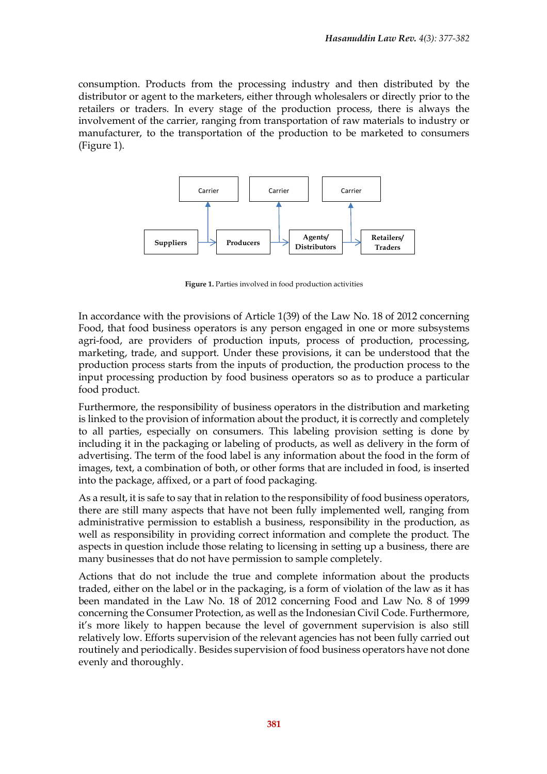consumption. Products from the processing industry and then distributed by the distributor or agent to the marketers, either through wholesalers or directly prior to the retailers or traders. In every stage of the production process, there is always the involvement of the carrier, ranging from transportation of raw materials to industry or manufacturer, to the transportation of the production to be marketed to consumers (Figure 1).



**Figure 1.** Parties involved in food production activities

In accordance with the provisions of Article 1(39) of the Law No. 18 of 2012 concerning Food, that food business operators is any person engaged in one or more subsystems agri-food, are providers of production inputs, process of production, processing, marketing, trade, and support. Under these provisions, it can be understood that the production process starts from the inputs of production, the production process to the input processing production by food business operators so as to produce a particular food product.

Furthermore, the responsibility of business operators in the distribution and marketing is linked to the provision of information about the product, it is correctly and completely to all parties, especially on consumers. This labeling provision setting is done by including it in the packaging or labeling of products, as well as delivery in the form of advertising. The term of the food label is any information about the food in the form of images, text, a combination of both, or other forms that are included in food, is inserted into the package, affixed, or a part of food packaging.

As a result, it is safe to say that in relation to the responsibility of food business operators, there are still many aspects that have not been fully implemented well, ranging from administrative permission to establish a business, responsibility in the production, as well as responsibility in providing correct information and complete the product. The aspects in question include those relating to licensing in setting up a business, there are many businesses that do not have permission to sample completely.

Actions that do not include the true and complete information about the products traded, either on the label or in the packaging, is a form of violation of the law as it has been mandated in the Law No. 18 of 2012 concerning Food and Law No. 8 of 1999 concerning the Consumer Protection, as well as the Indonesian Civil Code. Furthermore, it's more likely to happen because the level of government supervision is also still relatively low. Efforts supervision of the relevant agencies has not been fully carried out routinely and periodically. Besides supervision of food business operators have not done evenly and thoroughly.